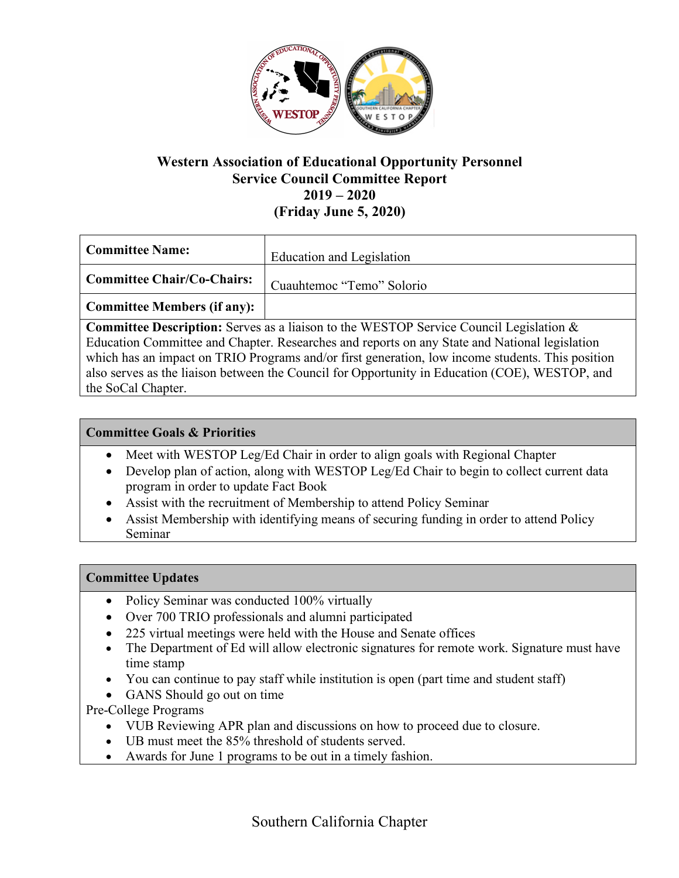

## **Western Association of Educational Opportunity Personnel Service Council Committee Report 2019 – 2020 (Friday June 5, 2020)**

| Committee Name:             | Education and Legislation |
|-----------------------------|---------------------------|
| Committee Chair/Co-Chairs:  | Cuauhtemoc "Temo" Solorio |
| Committee Members (if any): |                           |

**Committee Description:** Serves as a liaison to the WESTOP Service Council Legislation & Education Committee and Chapter. Researches and reports on any State and National legislation which has an impact on TRIO Programs and/or first generation, low income students. This position also serves as the liaison between the Council for Opportunity in Education (COE), WESTOP, and the SoCal Chapter.

## **Committee Goals & Priorities**

- Meet with WESTOP Leg/Ed Chair in order to align goals with Regional Chapter
- Develop plan of action, along with WESTOP Leg/Ed Chair to begin to collect current data program in order to update Fact Book
- Assist with the recruitment of Membership to attend Policy Seminar
- Assist Membership with identifying means of securing funding in order to attend Policy Seminar

#### **Committee Updates**

- Policy Seminar was conducted 100% virtually
- Over 700 TRIO professionals and alumni participated
- 225 virtual meetings were held with the House and Senate offices
- The Department of Ed will allow electronic signatures for remote work. Signature must have time stamp
- You can continue to pay staff while institution is open (part time and student staff)
- GANS Should go out on time

Pre-College Programs

- VUB Reviewing APR plan and discussions on how to proceed due to closure.
- UB must meet the 85% threshold of students served.
- Awards for June 1 programs to be out in a timely fashion.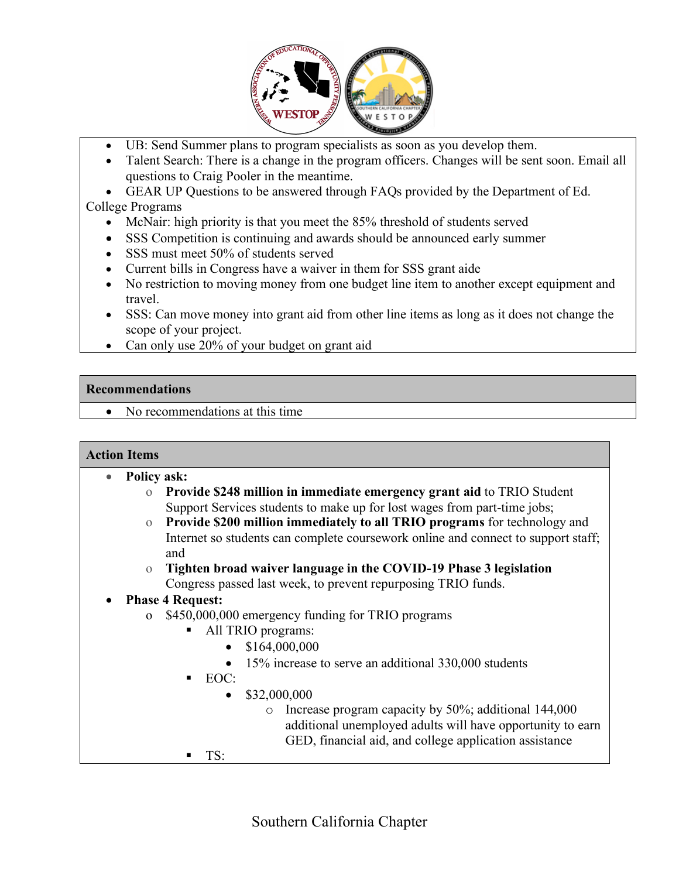

- UB: Send Summer plans to program specialists as soon as you develop them.
- Talent Search: There is a change in the program officers. Changes will be sent soon. Email all questions to Craig Pooler in the meantime.
- GEAR UP Questions to be answered through FAQs provided by the Department of Ed. College Programs
	- McNair: high priority is that you meet the 85% threshold of students served
	- SSS Competition is continuing and awards should be announced early summer
	- SSS must meet 50% of students served
	- Current bills in Congress have a waiver in them for SSS grant aide
	- No restriction to moving money from one budget line item to another except equipment and travel.
	- SSS: Can move money into grant aid from other line items as long as it does not change the scope of your project.
	- Can only use 20% of your budget on grant aid

#### **Recommendations**

• No recommendations at this time

#### **Action Items**

- **Policy ask:**
	- o **Provide \$248 million in immediate emergency grant aid** to TRIO Student Support Services students to make up for lost wages from part-time jobs;
	- o **Provide \$200 million immediately to all TRIO programs** for technology and Internet so students can complete coursework online and connect to support staff; and
	- o **Tighten broad waiver language in the COVID-19 Phase 3 legislation** Congress passed last week, to prevent repurposing TRIO funds.

# • **Phase 4 Request:**

- o \$450,000,000 emergency funding for TRIO programs
	- All TRIO programs:
		- $$164,000,000$
		- 15% increase to serve an additional 330,000 students
	- § EOC:
		- $$32,000,000$ 
			- o Increase program capacity by 50%; additional 144,000 additional unemployed adults will have opportunity to earn GED, financial aid, and college application assistance
	- § TS: